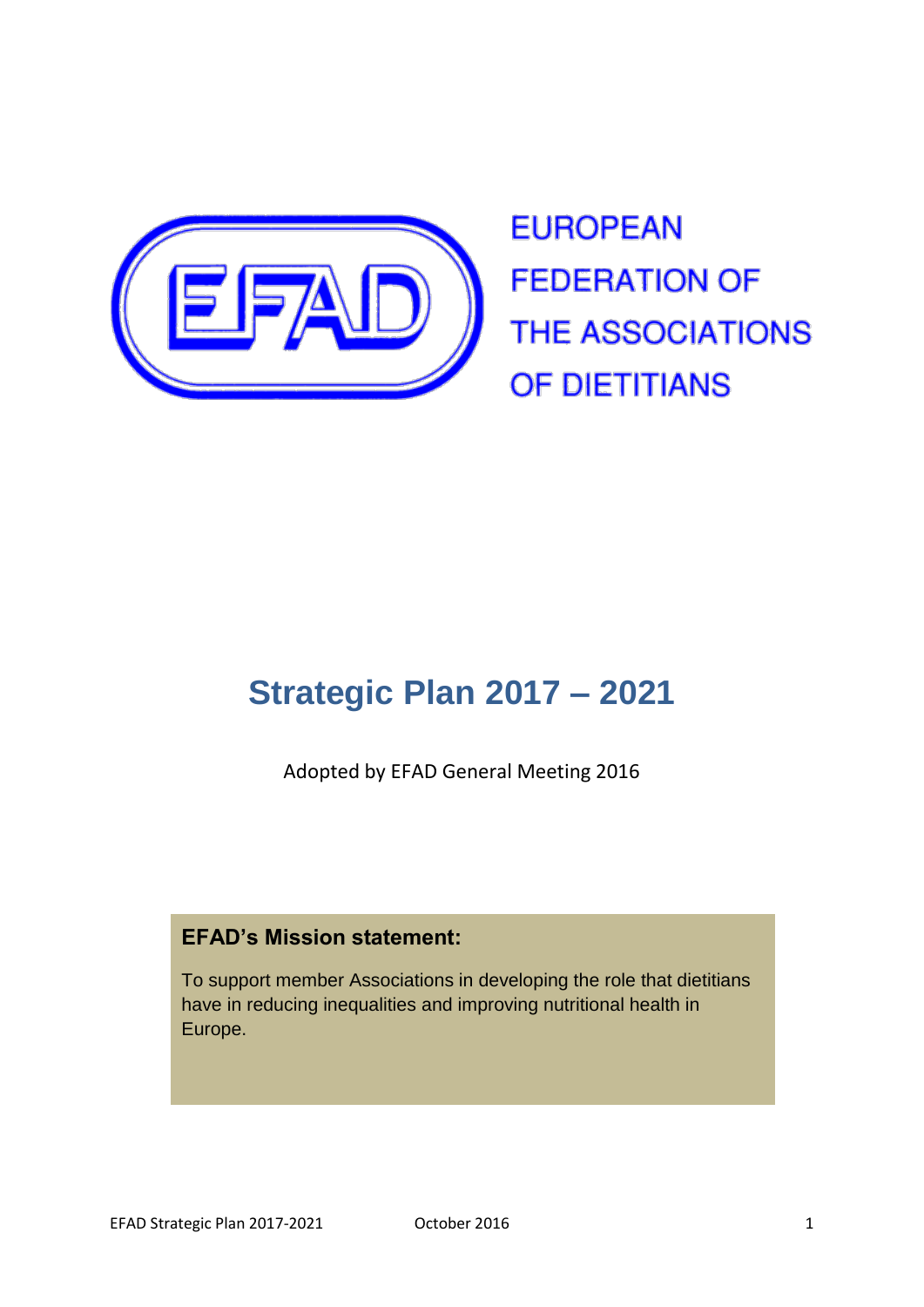

**EUROPEAN FEDERATION OF THE ASSOCIATIONS** OF DIETITIANS

# **Strategic Plan 2017 – 2021**

Adopted by EFAD General Meeting 2016

### **EFAD's Mission statement:**

To support member Associations in developing the role that dietitians have in reducing inequalities and improving nutritional health in Europe.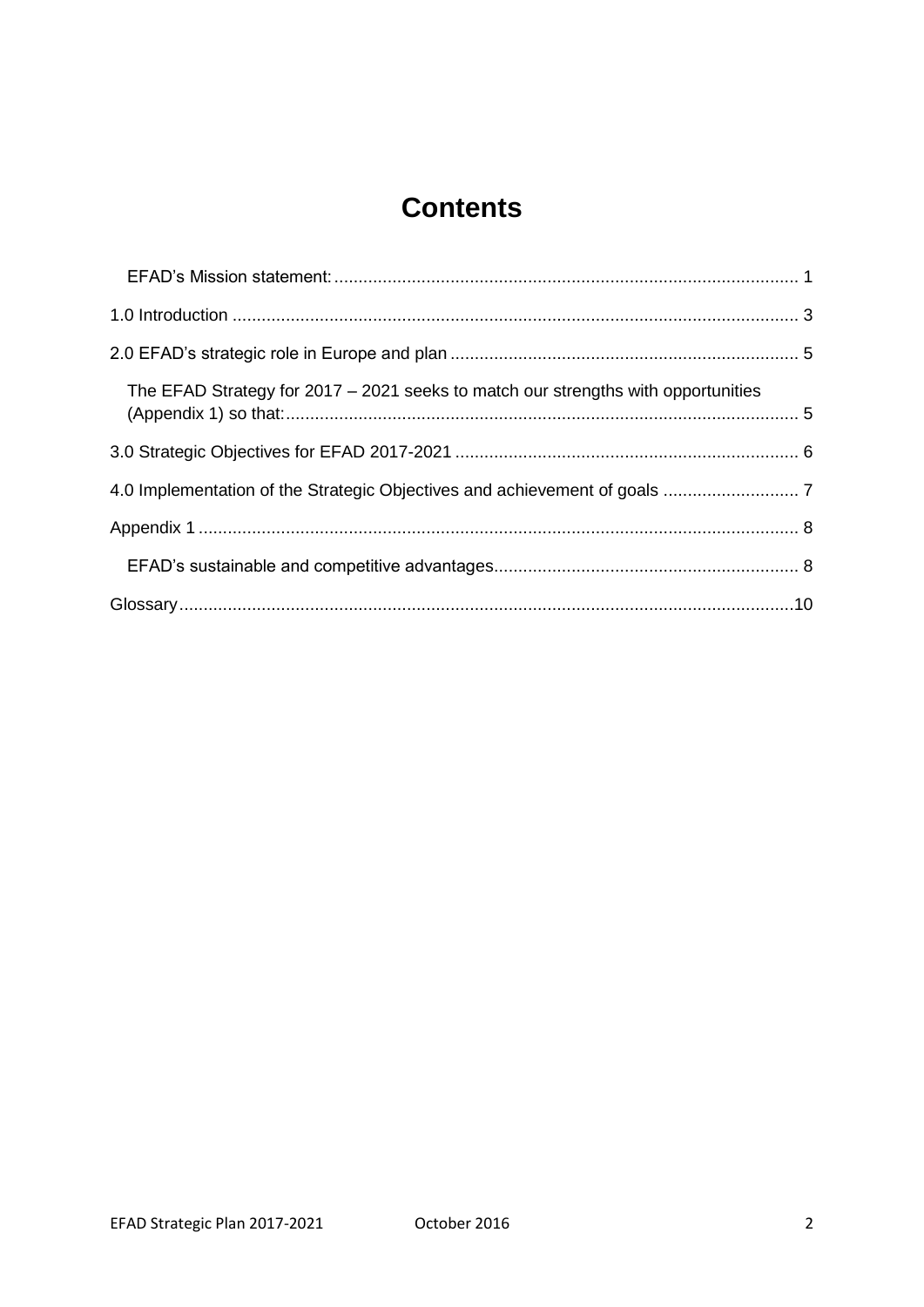# **Contents**

| The EFAD Strategy for 2017 - 2021 seeks to match our strengths with opportunities |  |
|-----------------------------------------------------------------------------------|--|
|                                                                                   |  |
|                                                                                   |  |
|                                                                                   |  |
|                                                                                   |  |
|                                                                                   |  |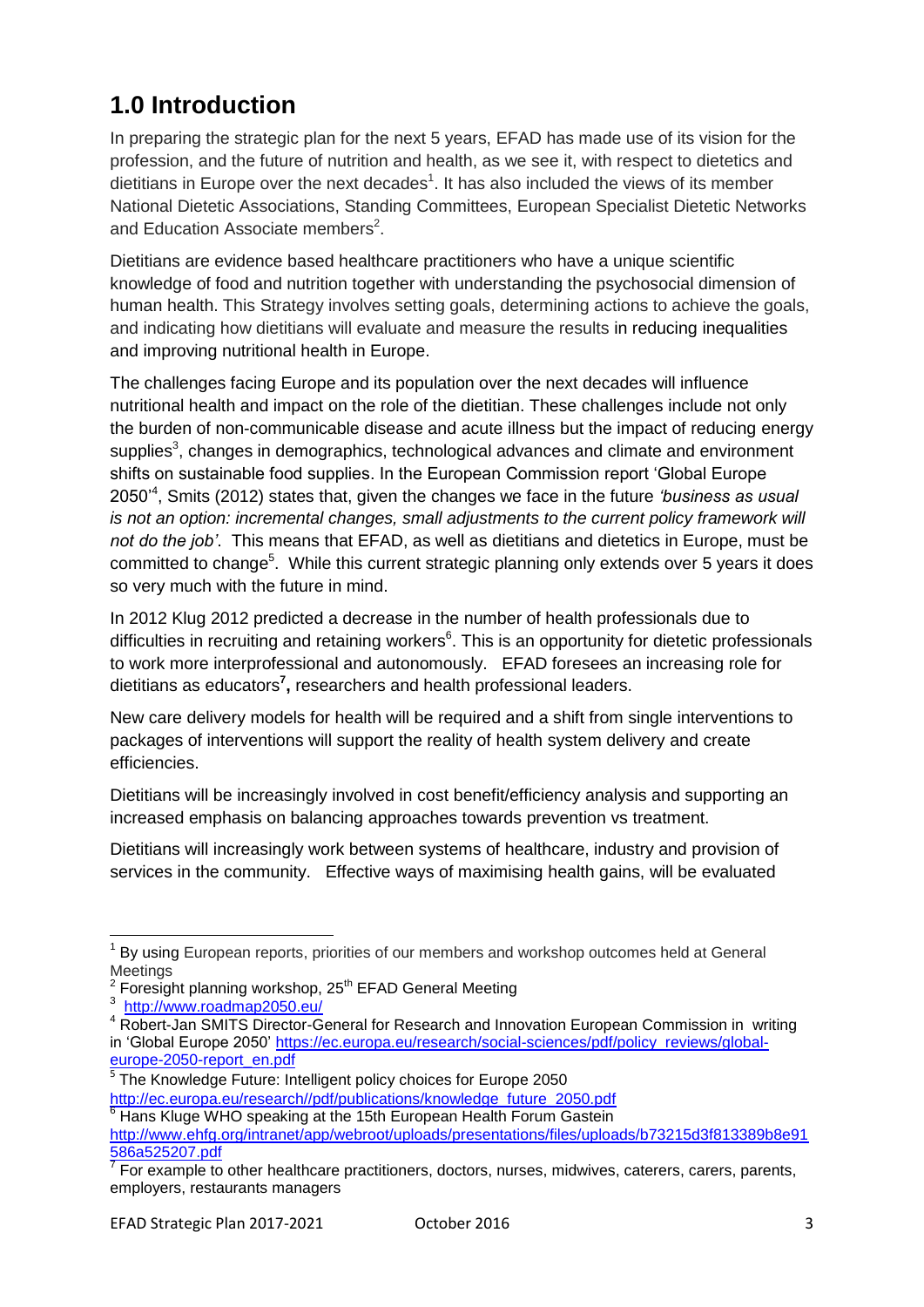# **1.0 Introduction**

In preparing the strategic plan for the next 5 years, EFAD has made use of its vision for the profession, and the future of nutrition and health, as we see it, with respect to dietetics and dietitians in Europe over the next decades<sup>1</sup>. It has also included the views of its member National Dietetic Associations, Standing Committees, European Specialist Dietetic Networks and Education Associate members<sup>2</sup>.

Dietitians are evidence based healthcare practitioners who have a unique scientific knowledge of food and nutrition together with understanding the psychosocial dimension of human health. This Strategy involves setting goals, determining actions to achieve the goals, and indicating how dietitians will evaluate and measure the results in reducing inequalities and improving nutritional health in Europe.

The challenges facing Europe and its population over the next decades will influence nutritional health and impact on the role of the dietitian. These challenges include not only the burden of non-communicable disease and acute illness but the impact of reducing energy supplies<sup>3</sup>, changes in demographics, technological advances and climate and environment shifts on sustainable food supplies. In the European Commission report 'Global Europe 2050'<sup>4</sup> , Smits (2012) states that, given the changes we face in the future *'business as usual is not an option: incremental changes, small adjustments to the current policy framework will not do the job'*. This means that EFAD, as well as dietitians and dietetics in Europe, must be committed to change<sup>5</sup>. While this current strategic planning only extends over 5 years it does so very much with the future in mind.

In 2012 Klug 2012 predicted a decrease in the number of health professionals due to difficulties in recruiting and retaining workers<sup>6</sup>. This is an opportunity for dietetic professionals to work more interprofessional and autonomously. EFAD foresees an increasing role for dietitians as educators**<sup>7</sup> ,** researchers and health professional leaders.

New care delivery models for health will be required and a shift from single interventions to packages of interventions will support the reality of health system delivery and create efficiencies.

Dietitians will be increasingly involved in cost benefit/efficiency analysis and supporting an increased emphasis on balancing approaches towards prevention vs treatment.

Dietitians will increasingly work between systems of healthcare, industry and provision of services in the community. Effective ways of maximising health gains, will be evaluated

j 1 By using European reports, priorities of our members and workshop outcomes held at General Meetings

 $2$  Foresight planning workshop, 25<sup>th</sup> EFAD General Meeting

<sup>3</sup> <http://www.roadmap2050.eu/>

<sup>&</sup>lt;sup>4</sup> Robert-Jan SMITS Director-General for Research and Innovation European Commission in writing in 'Global Europe 2050' [https://ec.europa.eu/research/social-sciences/pdf/policy\\_reviews/global](https://ec.europa.eu/research/social-sciences/pdf/policy_reviews/global-europe-2050-report_en.pdf)[europe-2050-report\\_en.pdf](https://ec.europa.eu/research/social-sciences/pdf/policy_reviews/global-europe-2050-report_en.pdf)

<sup>&</sup>lt;sup>5</sup> The Knowledge Future: Intelligent policy choices for Europe 2050 [http://ec.europa.eu/research//pdf/publications/knowledge\\_future\\_2050.pdf](http://ec.europa.eu/research/pdf/publications/knowledge_future_2050.pdf)

<sup>6</sup> Hans Kluge WHO speaking at the 15th European Health Forum Gastein

[http://www.ehfg.org/intranet/app/webroot/uploads/presentations/files/uploads/b73215d3f813389b8e91](http://www.ehfg.org/intranet/app/webroot/uploads/presentations/files/uploads/b73215d3f813389b8e91586a525207.pdf) 586a525207.pdf<br><sup>7</sup> For example to other healthcare practitioners, doctors, nurses, midwives, caterers, carers, parents,

employers, restaurants managers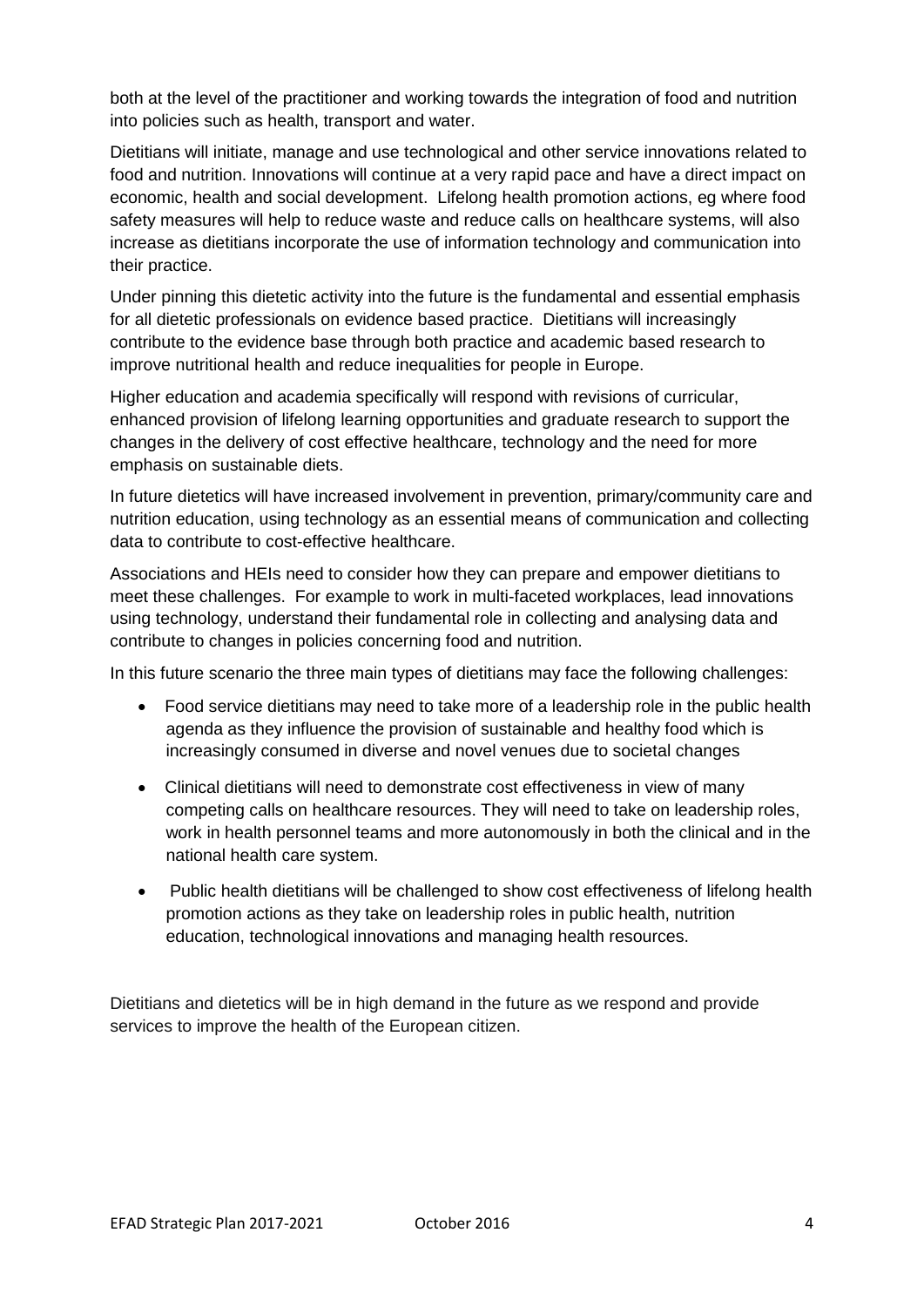both at the level of the practitioner and working towards the integration of food and nutrition into policies such as health, transport and water.

Dietitians will initiate, manage and use technological and other service innovations related to food and nutrition. Innovations will continue at a very rapid pace and have a direct impact on economic, health and social development. Lifelong health promotion actions, eg where food safety measures will help to reduce waste and reduce calls on healthcare systems, will also increase as dietitians incorporate the use of information technology and communication into their practice.

Under pinning this dietetic activity into the future is the fundamental and essential emphasis for all dietetic professionals on evidence based practice. Dietitians will increasingly contribute to the evidence base through both practice and academic based research to improve nutritional health and reduce inequalities for people in Europe.

Higher education and academia specifically will respond with revisions of curricular, enhanced provision of lifelong learning opportunities and graduate research to support the changes in the delivery of cost effective healthcare, technology and the need for more emphasis on sustainable diets.

In future dietetics will have increased involvement in prevention, primary/community care and nutrition education, using technology as an essential means of communication and collecting data to contribute to cost-effective healthcare.

Associations and HEIs need to consider how they can prepare and empower dietitians to meet these challenges. For example to work in multi-faceted workplaces, lead innovations using technology, understand their fundamental role in collecting and analysing data and contribute to changes in policies concerning food and nutrition.

In this future scenario the three main types of dietitians may face the following challenges:

- Food service dietitians may need to take more of a leadership role in the public health agenda as they influence the provision of sustainable and healthy food which is increasingly consumed in diverse and novel venues due to societal changes
- Clinical dietitians will need to demonstrate cost effectiveness in view of many competing calls on healthcare resources. They will need to take on leadership roles, work in health personnel teams and more autonomously in both the clinical and in the national health care system.
- Public health dietitians will be challenged to show cost effectiveness of lifelong health promotion actions as they take on leadership roles in public health, nutrition education, technological innovations and managing health resources.

Dietitians and dietetics will be in high demand in the future as we respond and provide services to improve the health of the European citizen.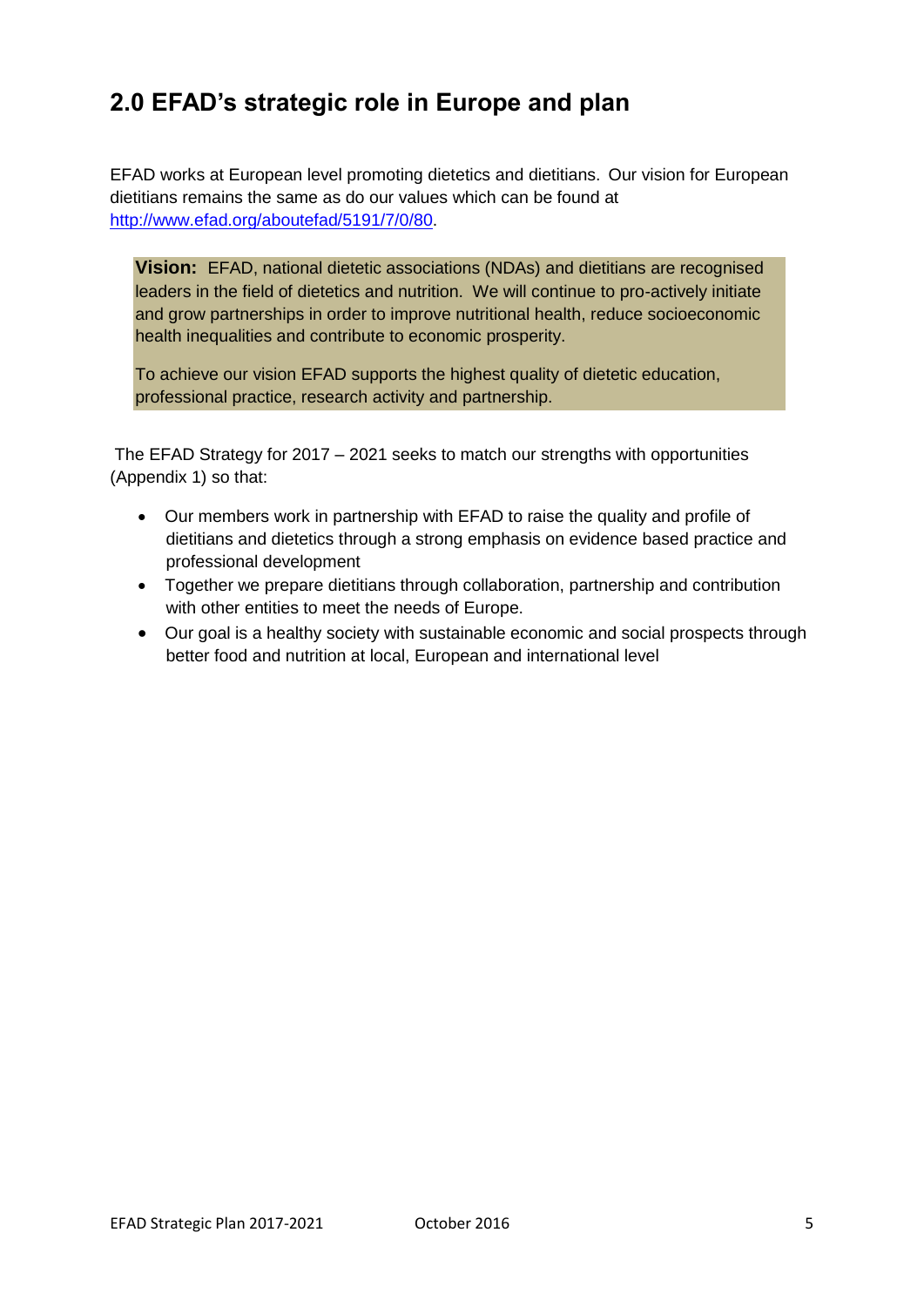### **2.0 EFAD's strategic role in Europe and plan**

EFAD works at European level promoting dietetics and dietitians. Our vision for European dietitians remains the same as do our values which can be found at [http://www.efad.org/aboutefad/5191/7/0/80.](http://www.efad.org/aboutefad/5191/7/0/80)

**Vision:** EFAD, national dietetic associations (NDAs) and dietitians are recognised leaders in the field of dietetics and nutrition. We will continue to pro-actively initiate and grow partnerships in order to improve nutritional health, reduce socioeconomic health inequalities and contribute to economic prosperity.

To achieve our vision EFAD supports the highest quality of dietetic education, professional practice, research activity and partnership.

The EFAD Strategy for 2017 – 2021 seeks to match our strengths with opportunities (Appendix 1) so that:

- Our members work in partnership with EFAD to raise the quality and profile of dietitians and dietetics through a strong emphasis on evidence based practice and professional development
- Together we prepare dietitians through collaboration, partnership and contribution with other entities to meet the needs of Europe.
- Our goal is a healthy society with sustainable economic and social prospects through better food and nutrition at local, European and international level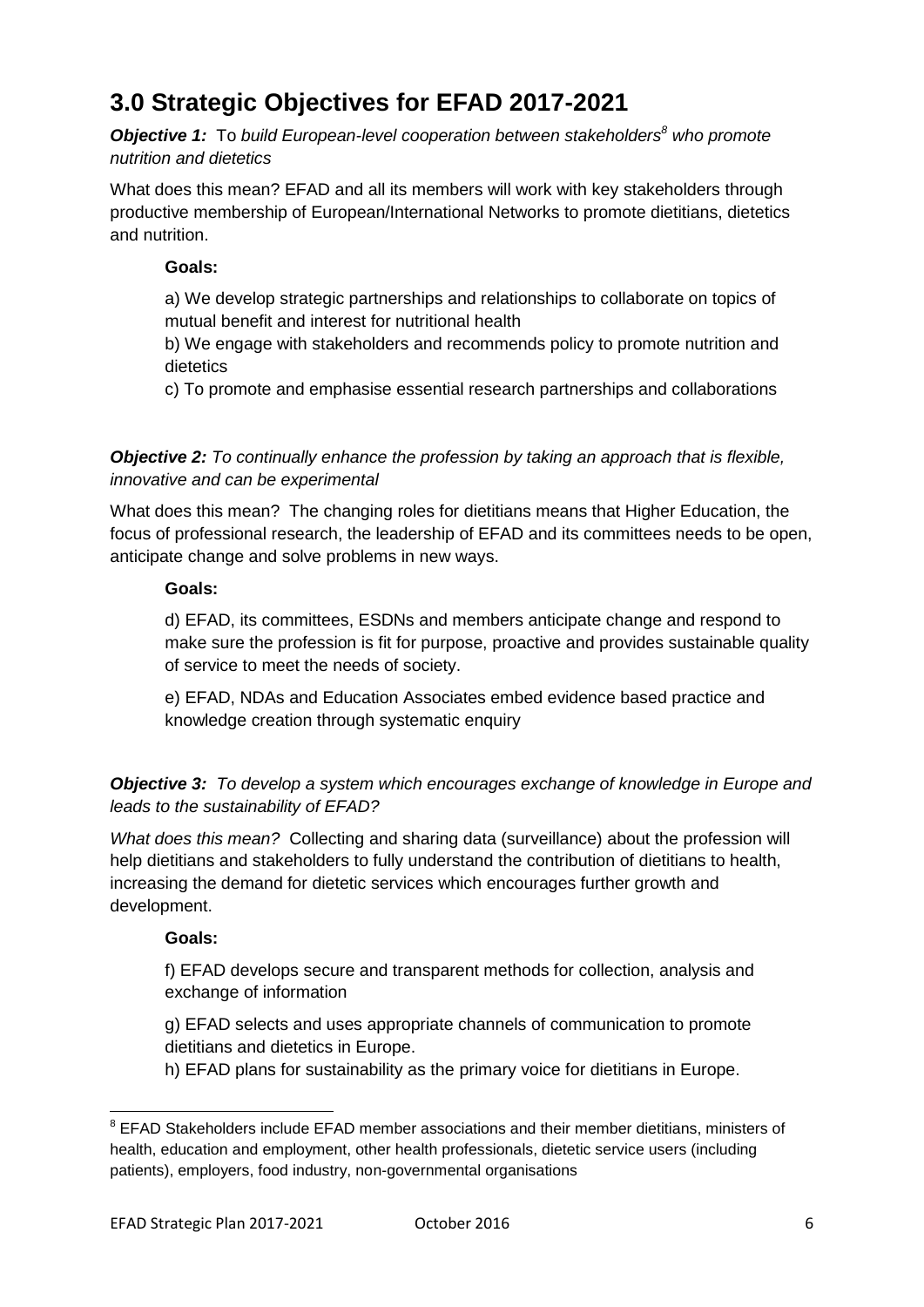## **3.0 Strategic Objectives for EFAD 2017-2021**

*Objective 1:* To *build European-level cooperation between stakeholders<sup>8</sup> who promote nutrition and dietetics*

What does this mean? EFAD and all its members will work with key stakeholders through productive membership of European/International Networks to promote dietitians, dietetics and nutrition.

#### **Goals:**

a) We develop strategic partnerships and relationships to collaborate on topics of mutual benefit and interest for nutritional health

b) We engage with stakeholders and recommends policy to promote nutrition and dietetics

c) To promote and emphasise essential research partnerships and collaborations

*Objective 2: To continually enhance the profession by taking an approach that is flexible, innovative and can be experimental* 

What does this mean? The changing roles for dietitians means that Higher Education, the focus of professional research, the leadership of EFAD and its committees needs to be open, anticipate change and solve problems in new ways.

#### **Goals:**

d) EFAD, its committees, ESDNs and members anticipate change and respond to make sure the profession is fit for purpose, proactive and provides sustainable quality of service to meet the needs of society.

e) EFAD, NDAs and Education Associates embed evidence based practice and knowledge creation through systematic enquiry

*Objective 3: To develop a system which encourages exchange of knowledge in Europe and leads to the sustainability of EFAD?*

*What does this mean?* Collecting and sharing data (surveillance) about the profession will help dietitians and stakeholders to fully understand the contribution of dietitians to health, increasing the demand for dietetic services which encourages further growth and development.

#### **Goals:**

 $\overline{\phantom{a}}$ 

f) EFAD develops secure and transparent methods for collection, analysis and exchange of information

g) EFAD selects and uses appropriate channels of communication to promote dietitians and dietetics in Europe.

h) EFAD plans for sustainability as the primary voice for dietitians in Europe.

 $8$  EFAD Stakeholders include EFAD member associations and their member dietitians, ministers of health, education and employment, other health professionals, dietetic service users (including patients), employers, food industry, non-governmental organisations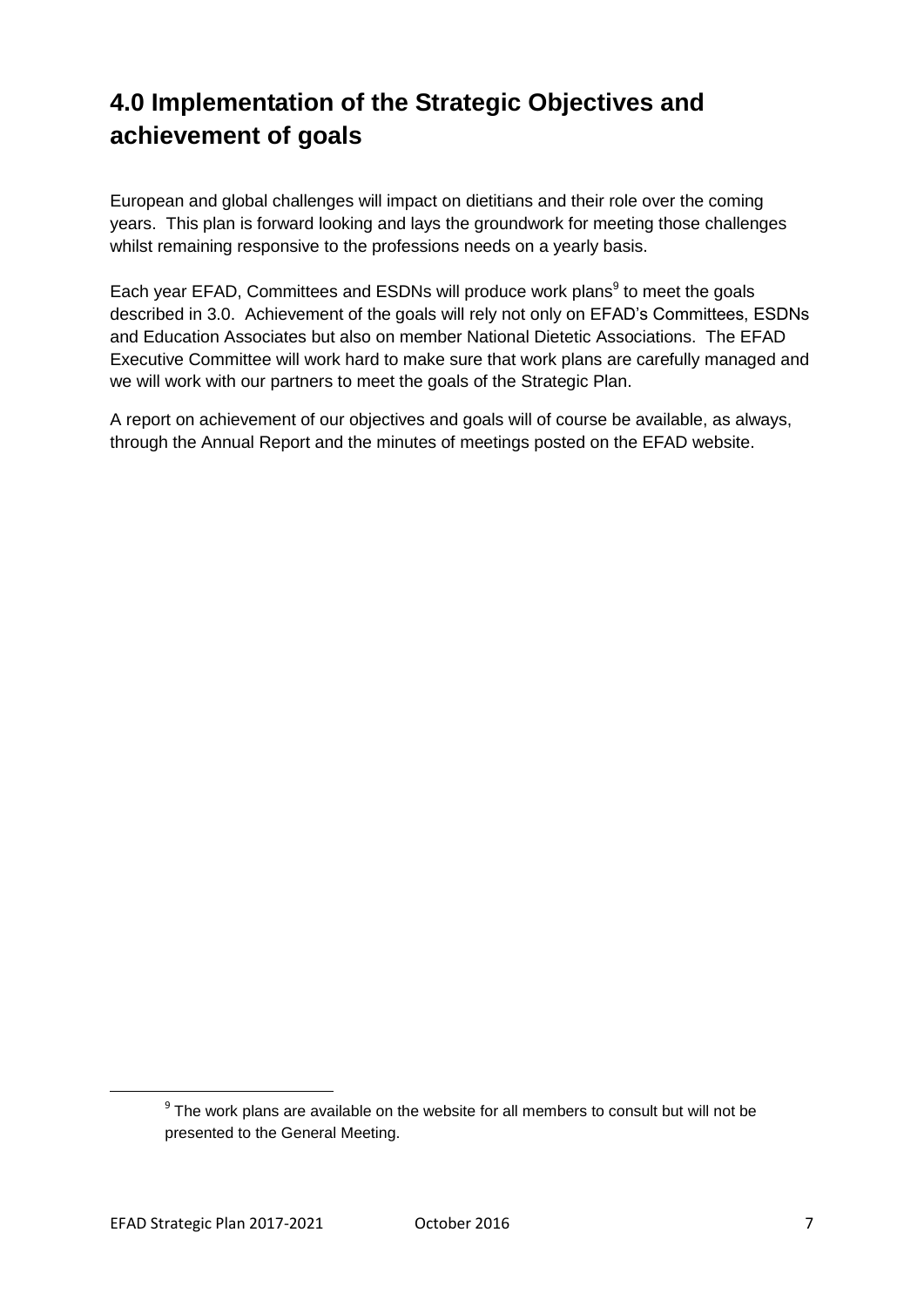# **4.0 Implementation of the Strategic Objectives and achievement of goals**

European and global challenges will impact on dietitians and their role over the coming years. This plan is forward looking and lays the groundwork for meeting those challenges whilst remaining responsive to the professions needs on a yearly basis.

Each year EFAD, Committees and ESDNs will produce work plans<sup>9</sup> to meet the goals described in 3.0. Achievement of the goals will rely not only on EFAD's Committees, ESDNs and Education Associates but also on member National Dietetic Associations. The EFAD Executive Committee will work hard to make sure that work plans are carefully managed and we will work with our partners to meet the goals of the Strategic Plan.

A report on achievement of our objectives and goals will of course be available, as always, through the Annual Report and the minutes of meetings posted on the EFAD website.

 $\overline{\phantom{a}}$ 

 $9$  The work plans are available on the website for all members to consult but will not be presented to the General Meeting.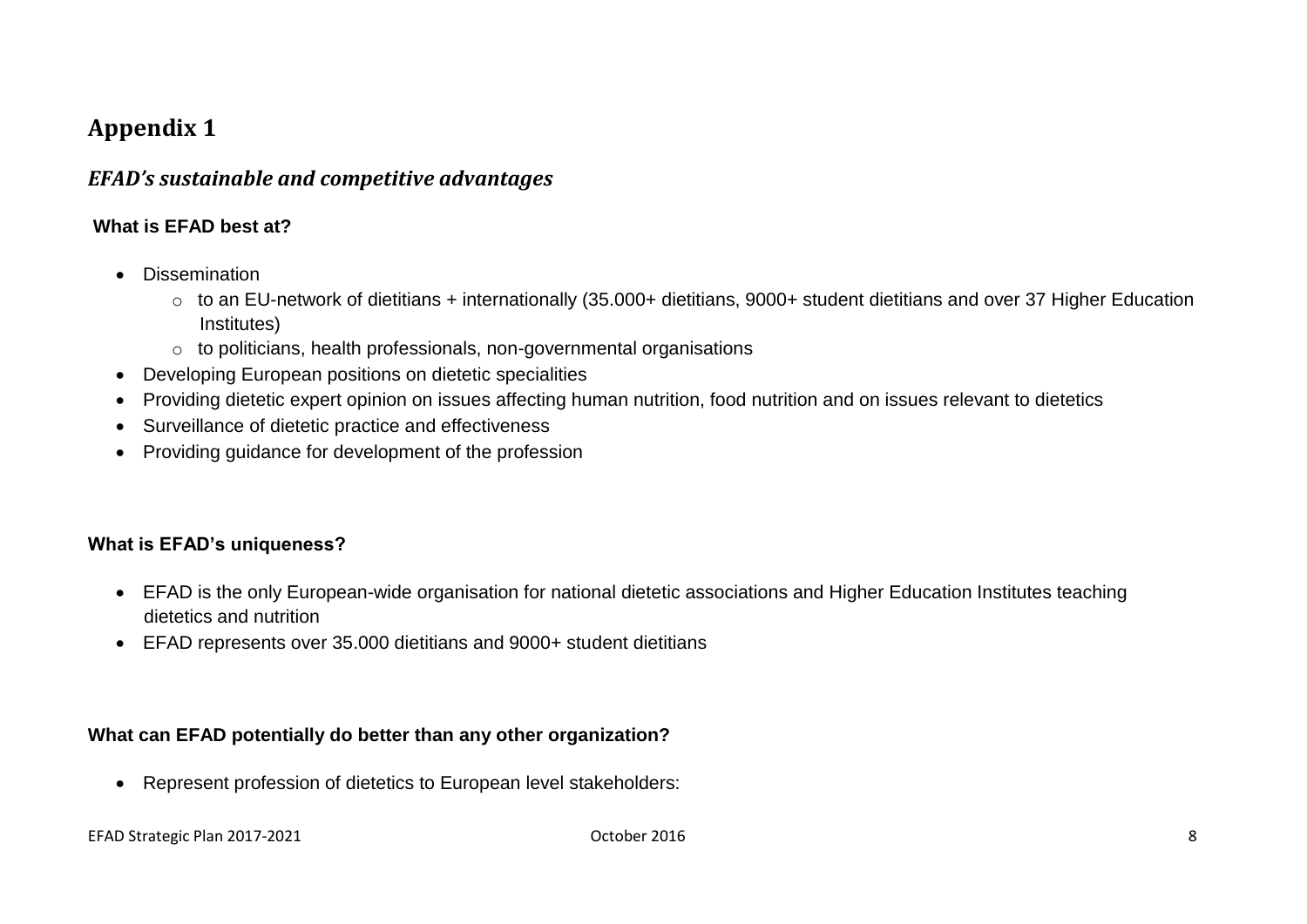### **Appendix 1**

#### *EFAD's sustainable and competitive advantages*

#### **What is EFAD best at?**

- Dissemination
	- o to an EU-network of dietitians + internationally (35.000+ dietitians, 9000+ student dietitians and over 37 Higher Education Institutes)
	- o to politicians, health professionals, non-governmental organisations
- Developing European positions on dietetic specialities
- Providing dietetic expert opinion on issues affecting human nutrition, food nutrition and on issues relevant to dietetics
- Surveillance of dietetic practice and effectiveness
- Providing guidance for development of the profession

#### **What is EFAD's uniqueness?**

- EFAD is the only European-wide organisation for national dietetic associations and Higher Education Institutes teaching dietetics and nutrition
- EFAD represents over 35.000 dietitians and 9000+ student dietitians

#### **What can EFAD potentially do better than any other organization?**

Represent profession of dietetics to European level stakeholders: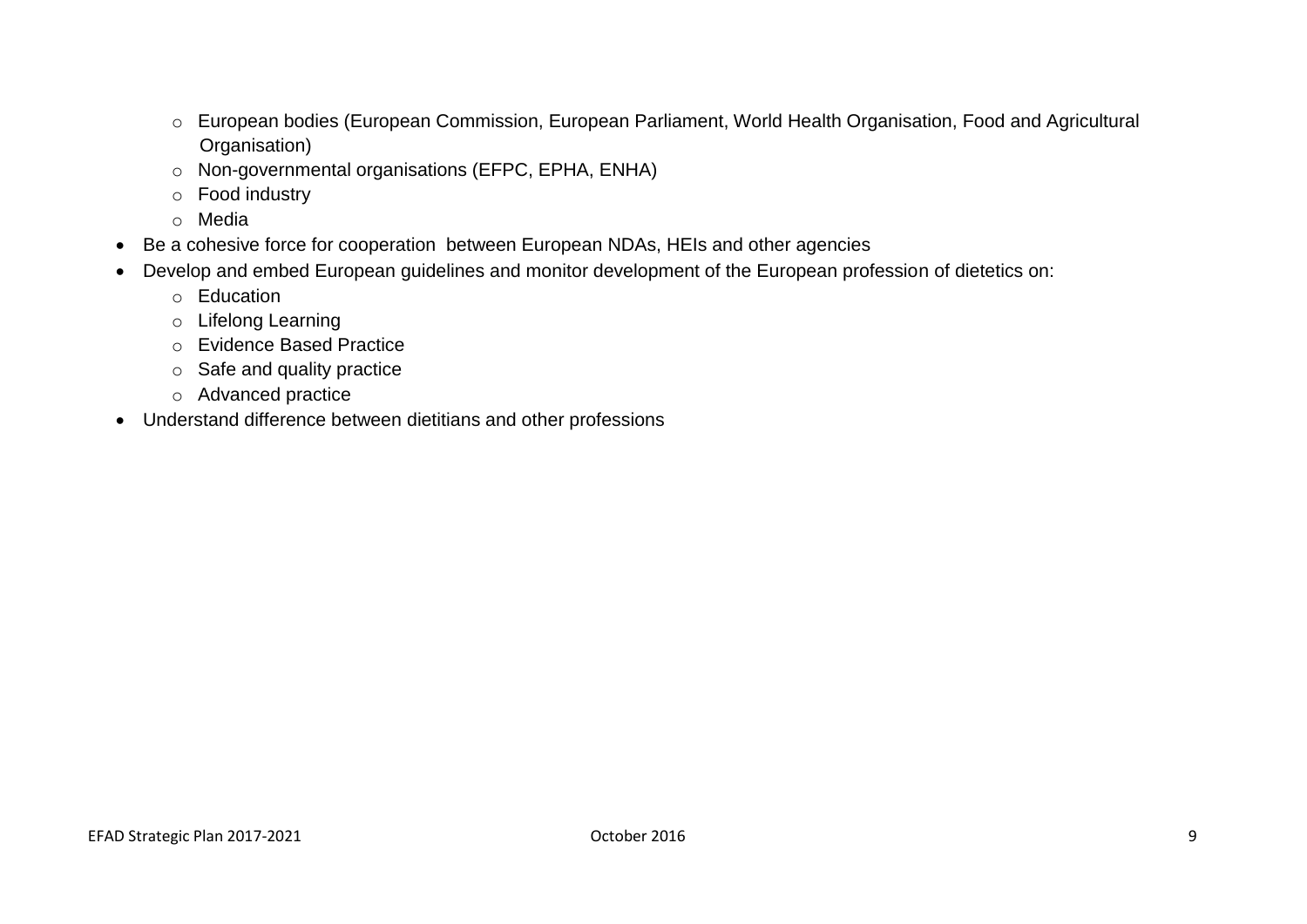- o European bodies (European Commission, European Parliament, World Health Organisation, Food and Agricultural Organisation)
- o Non-governmental organisations (EFPC, EPHA, ENHA)
- o Food industry
- o Media
- Be a cohesive force for cooperation between European NDAs, HEIs and other agencies
- Develop and embed European guidelines and monitor development of the European profession of dietetics on:
	- o Education
	- o Lifelong Learning
	- o Evidence Based Practice
	- o Safe and quality practice
	- o Advanced practice
- Understand difference between dietitians and other professions